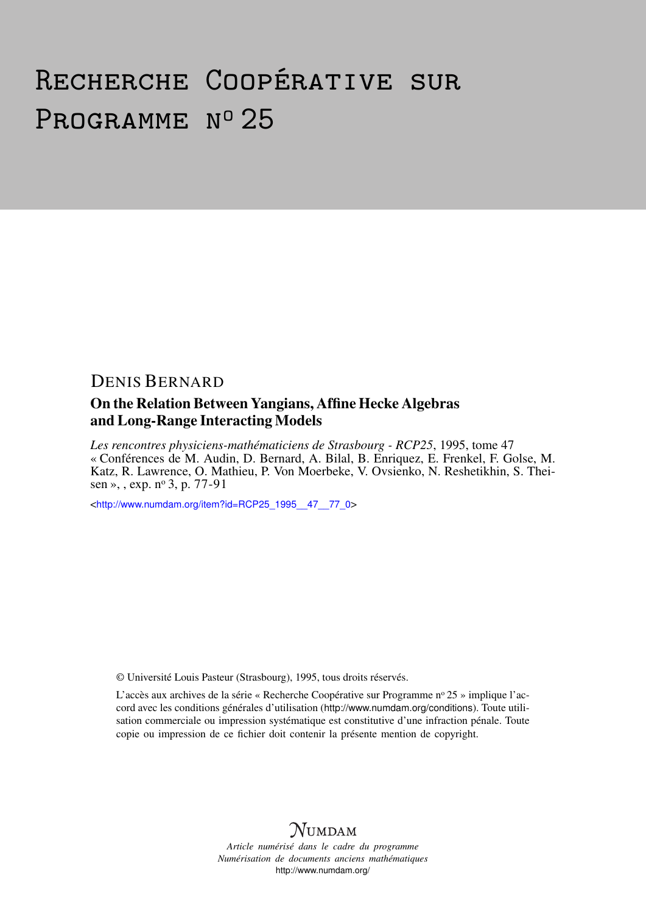# Recherche Coopérative sur PROGRAMME Nº 25

## DENIS BERNARD

#### On the Relation Between Yangians, Affine Hecke Algebras and Long-Range Interacting Models

*Les rencontres physiciens-mathématiciens de Strasbourg - RCP25*, 1995, tome 47 « Conférences de M. Audin, D. Bernard, A. Bilal, B. Enriquez, E. Frenkel, F. Golse, M. Katz, R. Lawrence, O. Mathieu, P. Von Moerbeke, V. Ovsienko, N. Reshetikhin, S. Theisen », , exp. nº 3, p. 77-91

<[http://www.numdam.org/item?id=RCP25\\_1995\\_\\_47\\_\\_77\\_0](http://www.numdam.org/item?id=RCP25_1995__47__77_0)>

© Université Louis Pasteur (Strasbourg), 1995, tous droits réservés.

L'accès aux archives de la série « Recherche Coopérative sur Programme nº 25 » implique l'accord avec les conditions générales d'utilisation (<http://www.numdam.org/conditions>). Toute utilisation commerciale ou impression systématique est constitutive d'une infraction pénale. Toute copie ou impression de ce fichier doit contenir la présente mention de copyright.



*Article numérisé dans le cadre du programme Numérisation de documents anciens mathématiques* <http://www.numdam.org/>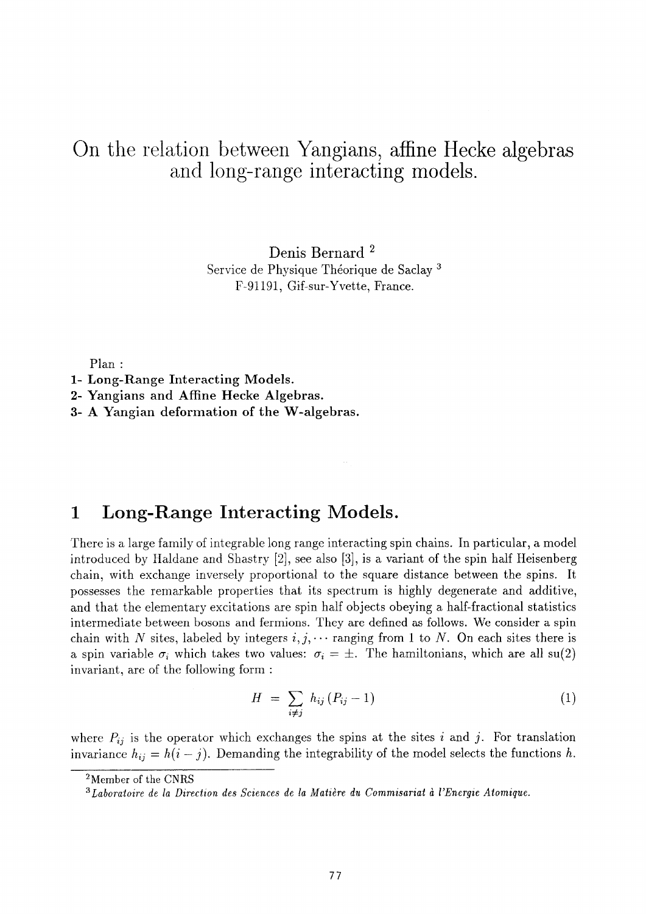# On the relation between Yangians, affine Hecke algebras and long-range interacting models.

Denis Bernard 2 Service de Physique Théorique de Saclay 3 F-91191, Gif-sur-Yvette, France.

Plan :

**2- Yangians and Affine Hecke Algebras.** 

**3- A Yangian deformation of the W-algebras.** 

## **1 Long-Range Interacting Models.**

There is a large family of integrable long range interacting spin chains. In particular, a model introduced by Haldane and Shastry [2], see also [3], is a variant of the spin half Heisenberg chain, with exchange inversely proportional to the square distance between the spins. It possesses the remarkable properties that its spectrum is highly degenerate and additive, and that the elementary excitations are spin half objects obeying a half-fractional statistics intermediate between bosons and fermions. They are defined as follows. We consider a spin chain with N sites, labeled by integers  $i, j, \cdots$  ranging from 1 to N. On each sites there is a spin variable  $\sigma_i$  which takes two values:  $\sigma_i = \pm$ . The hamiltonians, which are all su(2) invariant, are of the following form :

$$
H = \sum_{i \neq j} h_{ij} (P_{ij} - 1) \tag{1}
$$

where  $P_{ij}$  is the operator which exchanges the spins at the sites i and j. For translation invariance  $h_{ij} = h(i - j)$ . Demanding the integrability of the model selects the functions h.

<sup>2</sup>Member of the CNRS

**<sup>1-</sup> Long-Range Interacting Models.** 

*<sup>3</sup> Laboratoire de la Direction des Sciences de la Matière du Commisariat à l'Energie Atomique.*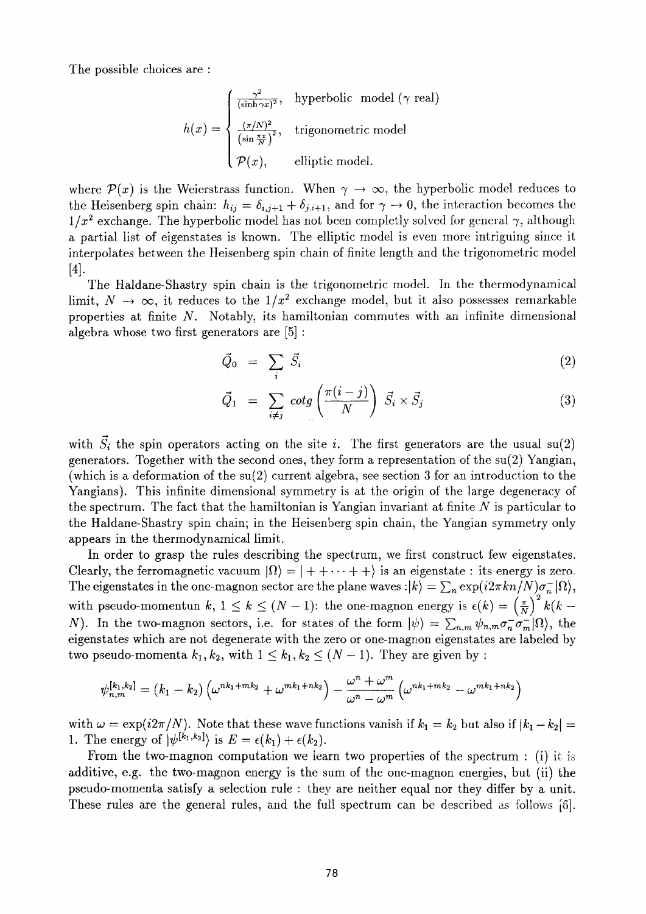The possible choices are :

$$
h(x) = \begin{cases} \frac{\gamma^2}{(\sinh \gamma x)^2}, & \text{hyperbolic model } (\gamma \text{ real})\\ \frac{(\pi/N)^2}{(\sin \frac{\pi x}{N})^2}, & \text{trigonometric model} \\ \mathcal{P}(x), & \text{elliptic model.} \end{cases}
$$

where  $\mathcal{P}(x)$  is the Weierstrass function. When  $\gamma \to \infty$ , the hyperbolic model reduces to the Heisenberg spin chain:  $h_{ij} = \delta_{i,j+1} + \delta_{j,i+1}$ , and for  $\gamma \to 0$ , the interaction becomes the  $1/x^2$  exchange. The hyperbolic model has not been completly solved for general  $\gamma,$  although a partial list of eigenstates is known. The elliptic model is even more intriguing since it interpolates between the Heisenberg spin chain of finite length and the trigonometric model  $[4]$ .

The Haldane-Shastry spin chain is the trigonometric model. In the thermodynamical limit,  $N \to \infty$ , it reduces to the  $1/x^2$  exchange model, but it also possesses remarkable properties at finite  $N$ . Notably, its hamiltonian commutes with an infinite dimensional algebra whose two first generators are [5] :

$$
\vec{Q}_0 = \sum_i \vec{S}_i \tag{2}
$$

$$
\vec{Q}_1 = \sum_{i \neq j} \cot g \left( \frac{\pi (i - j)}{N} \right) \vec{S}_i \times \vec{S}_j \tag{3}
$$

with  $\vec{S}_i$  the spin operators acting on the site *i*. The first generators are the usual su(2) generators. Together with the second ones, they form a representation of the su(2) Yangian, (which is a deformation of the  $su(2)$  current algebra, see section 3 for an introduction to the Yangians). This infinite dimensional symmetry is at the origin of the large degeneracy of the spectrum. The fact that the hamiltonian is Yangian invariant at finite  $N$  is particular to the Haldane-Shastry spin chain; in the Heisenberg spin chain, the Yangian symmetry only appears in the thermodynamical limit.

In order to grasp the rules describing the spectrum, we first construct few eigenstates. Clearly, the ferromagnetic vacuum  $|\Omega\rangle = |++\cdots++\rangle$  is an eigenstate : its energy is zero. The eigenstates in the one-magnon sector are the plane waves : $\ket{k} = \sum_{n} \exp(i2\pi k n/N) \sigma_{n}^{-} |\Omega\rangle$ , with pseudo-momentun k,  $1 \le k \le (N-1)$ : the one-magnon energy is  $\epsilon(k) = \left(\frac{\pi}{N}\right)^2 k(k-1)$ N). In the two-magnon sectors, i.e. for states of the form  $|\psi\rangle = \sum_{n,m} \psi_{n,m} \sigma_n^-\sigma_m^+ |\Omega\rangle$ , the eigenstates which are not degenerate with the zero or one-magnon eigenstates are labeled by two pseudo-momenta  $k_1, k_2$ , with  $1 \leq k_1, k_2 \leq (N-1)$ . They are given by :

$$
\psi_{n,m}^{[k_1,k_2]} = (k_1 - k_2) \left( \omega^{nk_1 + mk_2} + \omega^{mk_1 + nk_2} \right) - \frac{\omega^n + \omega^m}{\omega^n - \omega^m} \left( \omega^{nk_1 + mk_2} - \omega^{mk_1 + nk_2} \right)
$$

with  $\omega = \exp(i2\pi/N)$ . Note that these wave functions vanish if  $k_1 = k_2$  but also if  $|k_1 - k_2| = 1$ 1. The energy of  $|\psi^{[k_1,k_2]} \rangle$  is  $E = \epsilon(k_1) + \epsilon(k_2)$ .

From the two-magnon computation we learn two properties of the spectrum : (i) it is additive, e.g. the two-magnon energy is the sum of the one-magnon energies, but (ii) the pseudo-momenta satisfy a selection rule : they are neither equal nor they differ by a unit. These rules are the general rules, and the full spectrum can be described as follows [6].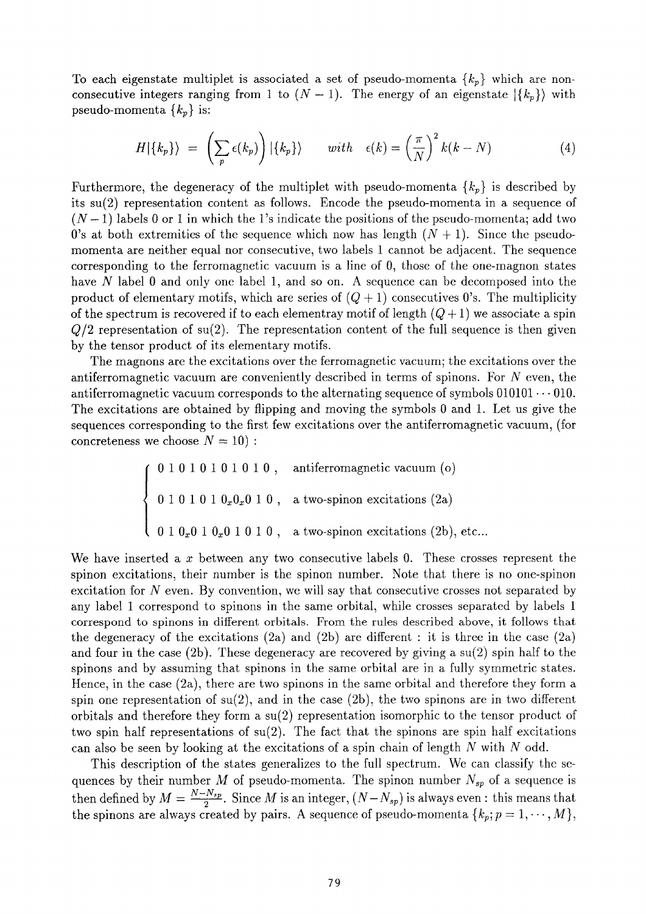To each eigenstate multiplet is associated a set of pseudo-momenta  $\{k_p\}$  which are nonconsecutive integers ranging from 1 to  $(N-1)$ . The energy of an eigenstate  $|\{k_p\}\rangle$  with pseudo-momenta *{kp}* is:

$$
H|\{k_p\}\rangle = \left(\sum_p \epsilon(k_p)\right) |\{k_p\}\rangle \quad \text{with} \quad \epsilon(k) = \left(\frac{\pi}{N}\right)^2 k(k - N) \tag{4}
$$

Furthermore, the degeneracy of the multiplet with pseudo-momenta  $\{k_p\}$  is described by its su(2) representation content as follows. Encode the pseudo-momenta in a sequence of  $(N-1)$  labels 0 or 1 in which the 1's indicate the positions of the pseudo-momenta; add two 0's at both extremities of the sequence which now has length  $(N + 1)$ . Since the pseudomomenta are neither equal nor consecutive, two labels 1 cannot be adjacent. The sequence corresponding to the ferromagnetic vacuum is a line of 0, those of the one-magnon states have N label 0 and only one label 1, and so on. A sequence can be decomposed into the product of elementary motifs, which are series of  $(Q + 1)$  consecutives 0's. The multiplicity of the spectrum is recovered if to each elementray motif of length  $(Q+1)$  we associate a spin *Q/2* representation of su(2). The representation content of the full sequence is then given by the tensor product of its elementary motifs.

The magnons are the excitations over the ferromagnetic vacuum; the excitations over the antiferromagnetic vacuum are conveniently described in terms of spinons. For  $N$  even, the antiferromagnetic vacuum corresponds to the alternating sequence of symbols  $010101 \cdots 010$ . The excitations are obtained by flipping and moving the symbols 0 and 1. Let us give the sequences corresponding to the first few excitations over the antiferromagnetic vacuum, (for concreteness we choose  $N=10$ ):

> ' 01010101010 , antiferromagnetic vacuum (o)  $\langle 0 1 0 1 0 1 0_x 0_x 0 1 0, \text{ a two-spinon excitations (2a)} \rangle$  $0.0 1 0.0 1 0 1 0$ , a two-spinon excitations (2b), etc...

We have inserted a  $x$  between any two consecutive labels 0. These crosses represent the spinon excitations, their number is the spinon number. Note that there is no one-spinon excitation for  $N$  even. By convention, we will say that consecutive crosses not separated by any label 1 correspond to spinons in the same orbital, while crosses separated by labels 1 correspond to spinons in different orbitals. From the rules described above, it follows that the degeneracy of the excitations  $(2a)$  and  $(2b)$  are different : it is three in the case  $(2a)$ and four in the case (2b). These degeneracy are recovered by giving a su(2) spin half to the spinons and by assuming that spinons in the same orbital are in a fully symmetric states. Hence, in the case  $(2a)$ , there are two spinons in the same orbital and therefore they form a spin one representation of  $su(2)$ , and in the case  $(2b)$ , the two spinons are in two different orbitals and therefore they form a su(2) representation isomorphic to the tensor product of two spin half representations of su(2). The fact that the spinons are spin half excitations can also be seen by looking at the excitations of a spin chain of length  $N$  with  $N$  odd.

This description of the states generalizes to the full spectrum. We can classify the sequences by their number *M* of pseudo-momenta. The spinon number  $N_{sp}$  of a sequence is then defined by  $M = \frac{N - N_{sp}}{2}$ . Since M is an integer,  $(N - N_{sp})$  is always even : this means that the spinons are always created by pairs. A sequence of pseudo-momenta  $\{k_p; p = 1, \dots, M\},$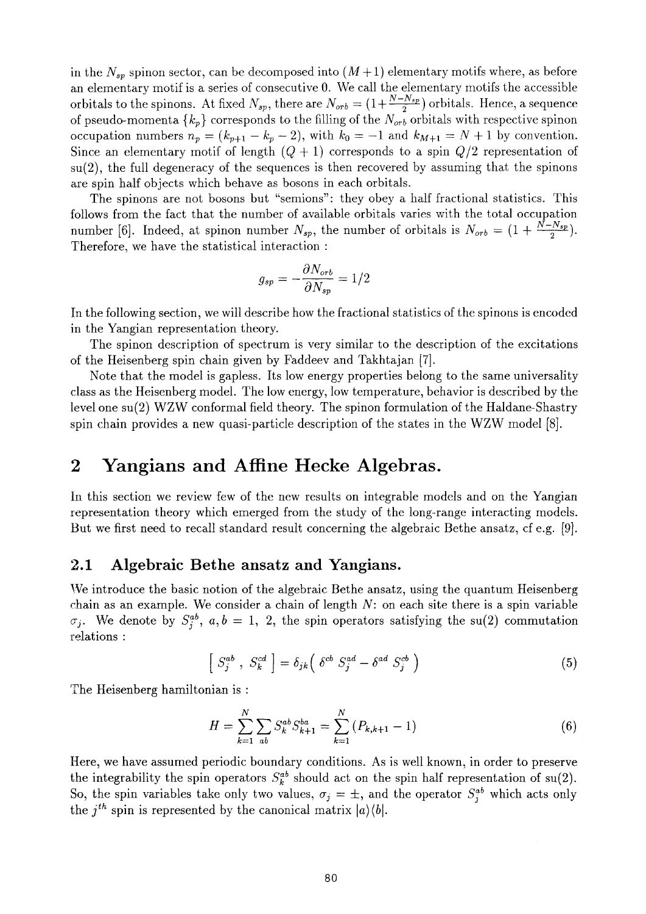in the  $N_{sp}$  spinon sector, can be decomposed into  $(M+1)$  elementary motifs where, as before an elementary motif is a series of consecutive 0. We call the elementary motifs the accessible orbitals to the spinons. At fixed  $N_{sp}$ , there are  $N_{orb} = (1 + \frac{N - N_{sp}}{2})$  orbitals. Hence, a sequence of pseudo-momenta  $\{k_p\}$  corresponds to the filling of the  $N_{orb}$  orbitals with respective spinon occupation numbers  $n_p = (k_{p+1} - k_p - 2)$ , with  $k_0 = -1$  and  $k_{M+1} = N + 1$  by convention. Since an elementary motif of length *(Q* + 1) corresponds to a spin *Q/2* representation of  $su(2)$ , the full degeneracy of the sequences is then recovered by assuming that the spinons are spin half objects which behave as bosons in each orbitals.

The spinons are not bosons but "semions": they obey a half fractional statistics. This follows from the fact that the number of available orbitals varies with the total occupation number [6]. Indeed, at spinon number  $N_{sp}$ , the number of orbitals is  $N_{orb} = (1 + \frac{N - N_{sp}}{2})$ . Therefore, we have the statistical interaction :

$$
g_{sp}=-\frac{\partial N_{orb}}{\partial N_{sp}}=1/2
$$

In the following section, we will describe how the fractional statistics of the spinons is encoded in the Yangian representation theory.

The spinon description of spectrum is very similar to the description of the excitations of the Heisenberg spin chain given by Faddeev and Takhtajan [7].

Note that the model is gapless. Its low energy properties belong to the same universality class as the Heisenberg model. The low energy, low temperature, behavior is described by the level one su(2) WZW conformal field theory. The spinon formulation of the Haldane-Shastry spin chain provides a new quasi-particle description of the states in the WZW model [8].

## **2 Yangians and Affine Hecke Algebras.**

In this section we review few of the new results on integrable models and on the Yangian representation theory which emerged from the study of the long-range interacting models. But we first need to recall standard result concerning the algebraic Bethe ansatz, cf e.g. [9].

#### **2.1 Algebraic Bethe ansatz and Yangians.**

We introduce the basic notion of the algebraic Bethe ansatz, using the quantum Heisenberg chain as an example. We consider a chain of length *N:* on each site there is a spin variable  $S_i$ . We denote by  $S_i^{ab}$ ,  $a,b=1, 2$ , the spin operators satisfying the su(2) commutation relations :

$$
\left[ S_j^{ab} , S_k^{cd} \right] = \delta_{jk} \left( \delta^{cb} S_j^{ad} - \delta^{ad} S_j^{cb} \right) \tag{5}
$$

The Heisenberg hamiltonian is :

$$
H = \sum_{k=1}^{N} \sum_{ab} S_k^{ab} S_{k+1}^{ba} = \sum_{k=1}^{N} (P_{k,k+1} - 1)
$$
 (6)

Here, we have assumed periodic boundary conditions. As is well known, in order to preserve the integrability the spin operators  $S_k^{ab}$  should act on the spin half representation of su(2). So, the spin variables take only two values,  $\sigma_i = \pm$ , and the operator  $S_i^{ab}$  which acts only the  $j^{th}$  spin is represented by the canonical matrix  $|a\rangle\langle b|$ .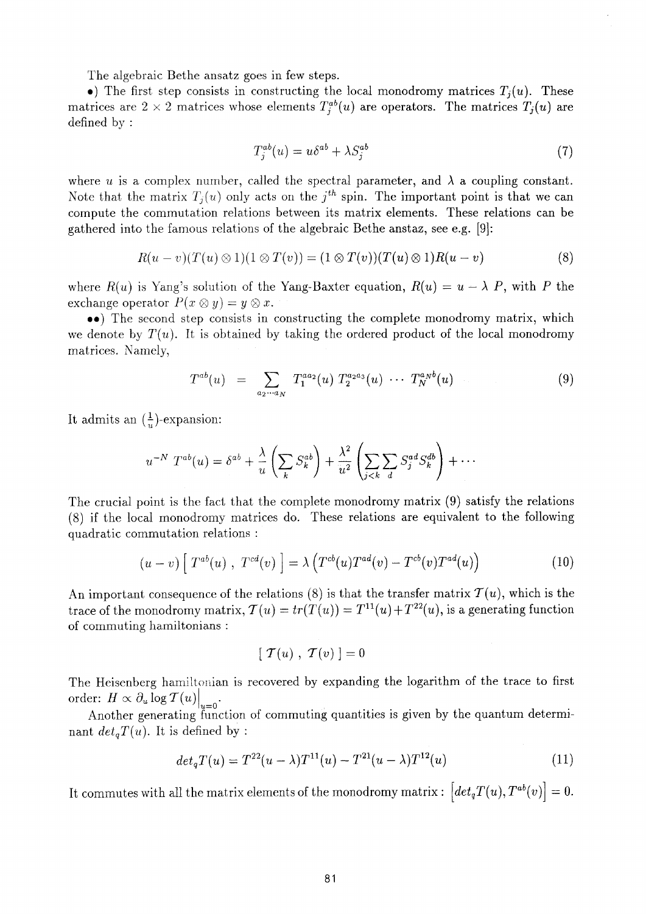The algebraic Bethe ansatz goes in few steps.

•) The first step consists in constructing the local monodromy matrices  $T_i(u)$ . These matrices are  $2 \times 2$  matrices whose elements  $T^{ab}_i(u)$  are operators. The matrices  $T_i(u)$  are defined by :

$$
T_j^{ab}(u) = u\delta^{ab} + \lambda S_j^{ab} \tag{7}
$$

where *u* is a complex number, called the spectral parameter, and  $\lambda$  a coupling constant. Note that the matrix  $T_i(u)$  only acts on the  $j<sup>th</sup>$  spin. The important point is that we can compute the commutation relations between its matrix elements. These relations can be gathered into the famous relations of the algebraic Bethe anstaz, see e.g. [9]:

$$
R(u - v)(T(u) \otimes 1)(1 \otimes T(v)) = (1 \otimes T(v))(T(u) \otimes 1)R(u - v)
$$
\n
$$
(8)
$$

where  $R(u)$  is Yang's solution of the Yang-Baxter equation,  $R(u) = u - \lambda P$ , with P the exchange operator  $P(x \otimes y) = y \otimes x$ .

••) The second step consists in constructing the complete monodromy matrix, which we denote by  $T(u)$ . It is obtained by taking the ordered product of the local monodromy matrices. Namely,

$$
T^{ab}(u) = \sum_{a_2 \cdots a_N} T_1^{aa_2}(u) T_2^{a_2 a_3}(u) \cdots T_N^{a_N b}(u) \qquad (9)
$$

It admits an  $(\frac{1}{n})$ -expansion:

$$
u^{-N} T^{ab}(u) = \delta^{ab} + \frac{\lambda}{u} \left( \sum_k S_k^{ab} \right) + \frac{\lambda^2}{u^2} \left( \sum_{j < k} \sum_d S_j^{ad} S_k^{db} \right) + \cdots
$$

The crucial point is the fact that the complete monodromy matrix (9) satisfy the relations (8) if the local monodromy matrices do. These relations are equivalent to the following quadratic commutation relations :

$$
(u-v)\left[T^{ab}(u)\;,\;T^{cd}(v)\right]=\lambda\left(T^{cb}(u)T^{ad}(v)-T^{cb}(v)T^{ad}(u)\right)\tag{10}
$$

An important consequence of the relations (8) is that the transfer matrix  $\mathcal{T}(u)$ , which is the trace of the monodromy matrix,  $\mathcal{T}(u) = tr(T(u)) = T^{11}(u) + T^{22}(u)$ , is a generating function of commuting hamiltonians :

$$
[T(u), T(v)]=0
$$

The Heisenberg hamiltonian is recovered by expanding the logarithm of the trace to first  $\text{order: } H \propto \partial_u \log {\cal T}(u) \vert$ 

*u=0*   $\frac{1}{\sqrt{1+\det T(u)}}$  It is defined by the commuting  $\frac{1}{\sqrt{1+\det T(u)}}$ nant  $det_aT(u)$ . It is defined by :

$$
det_q T(u) = T^{22}(u - \lambda)T^{11}(u) - T^{21}(u - \lambda)T^{12}(u)
$$
\n(11)

It commutes with all the matrix elements of the monodromy matrix :  $\left[ det_q T(u), T^{ab}(v) \right] = 0.$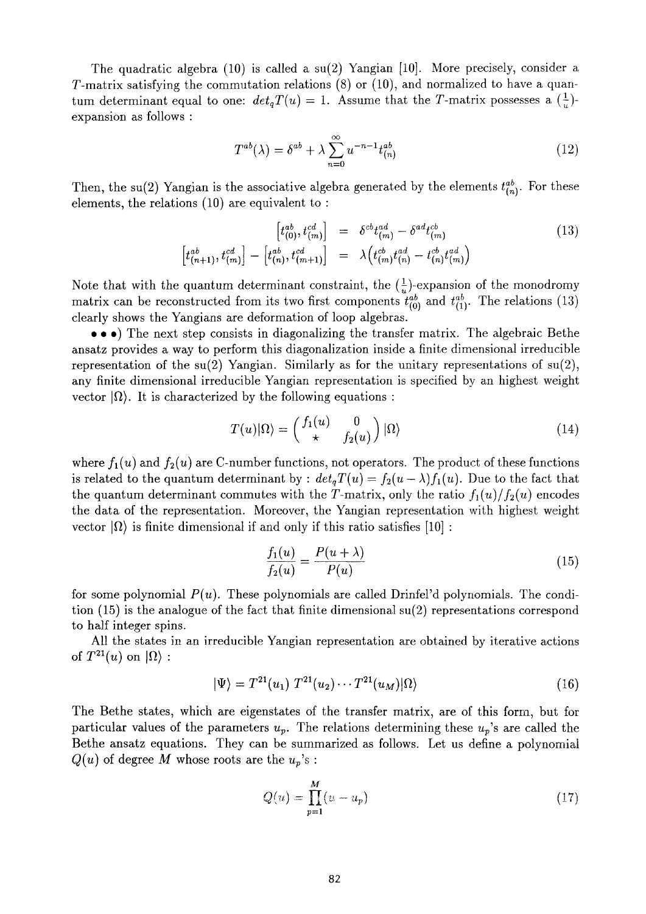The quadratic algebra (10) is called a su(2) Yangian [10]. More precisely, consider a T-matrix satisfying the commutation relations (8) or (10), and normalized to have a quantum determinant equal to one:  $det_q T(u) = 1$ . Assume that the T-matrix possesses a  $(\frac{1}{u})$ expansion as follows :

$$
T^{ab}(\lambda) = \delta^{ab} + \lambda \sum_{n=0}^{\infty} u^{-n-1} t_{(n)}^{ab}
$$
 (12)

Then, the su(2) Yangian is the associative algebra generated by the elements  $t_{(n)}^{ab}$ . For these elements, the relations (10) are equivalent to :

$$
\begin{bmatrix} t_{(0)}^{ab}, t_{(m)}^{cd} \end{bmatrix} = \delta^{cb} t_{(m)}^{ad} - \delta^{ad} t_{(m)}^{cb} \qquad (13)
$$
\n
$$
\begin{bmatrix} t_{(n+1)}^{ab}, t_{(m)}^{cd} \end{bmatrix} - \begin{bmatrix} t_{(n)}^{ab}, t_{(m+1)}^{cd} \end{bmatrix} = \lambda \begin{bmatrix} t_{(m)}^{cb}, t_{(m)}^{ad} - t_{(n)}^{cb}, t_{(m)}^{ad} \end{bmatrix}
$$

Note that with the quantum determinant constraint, the  $(\frac{1}{u})$ -expansion of the monodromy matrix can be reconstructed from its two first components  $t^{ab}_{(0)}$  and  $t^{ab}_{(1)}$ . The relations (13) clearly shows the Yangians are deformation of loop algebras.

• • • The next step consists in diagonalizing the transfer matrix. The algebraic Bethe ansatz provides a way to perform this diagonalization inside a finite dimensional irreducible representation of the su(2) Yangian. Similarly as for the unitary representations of  $\text{su}(2)$ , any finite dimensional irreducible Yangian representation is specified by an highest weight vector  $|\Omega\rangle$ . It is characterized by the following equations :

$$
T(u)|\Omega\rangle = \begin{pmatrix} f_1(u) & 0 \\ \star & f_2(u) \end{pmatrix} |\Omega\rangle \tag{14}
$$

where  $f_1(u)$  and  $f_2(u)$  are C-number functions, not operators. The product of these functions is related to the quantum determinant by :  $det_q T(u) = f_2(u - \lambda) f_1(u)$ . Due to the fact that the quantum determinant commutes with the T-matrix, only the ratio  $f_1(u)/f_2(u)$  encodes the data of the representation. Moreover, the Yangian representation with highest weight vector  $|Ω$ ) is finite dimensional if and only if this ratio satisfies [10] :

$$
\frac{f_1(u)}{f_2(u)} = \frac{P(u+\lambda)}{P(u)}\tag{15}
$$

for some polynomial *P(u).* These polynomials are called Drinfel'd polynomials. The condition  $(15)$  is the analogue of the fact that finite dimensional su(2) representations correspond to half integer spins.

All the states in an irreducible Yangian representation are obtained by iterative actions of  $T^{21}(u)$  on  $|\Omega\rangle$  :

$$
|\Psi\rangle = T^{21}(u_1) T^{21}(u_2) \cdots T^{21}(u_M) |\Omega\rangle \qquad (16)
$$

The Bethe states, which are eigenstates of the transfer matrix, are of this form, but for particular values of the parameters  $u_p$ . The relations determining these  $u_p$ 's are called the Bethe ansatz equations. They can be summarized as follows. Let us define a polynomial  $Q(u)$  of degree M whose roots are the  $u_p$ 's :

$$
Q(u) = \prod_{p=1}^{M} (u - u_p)
$$
 (17)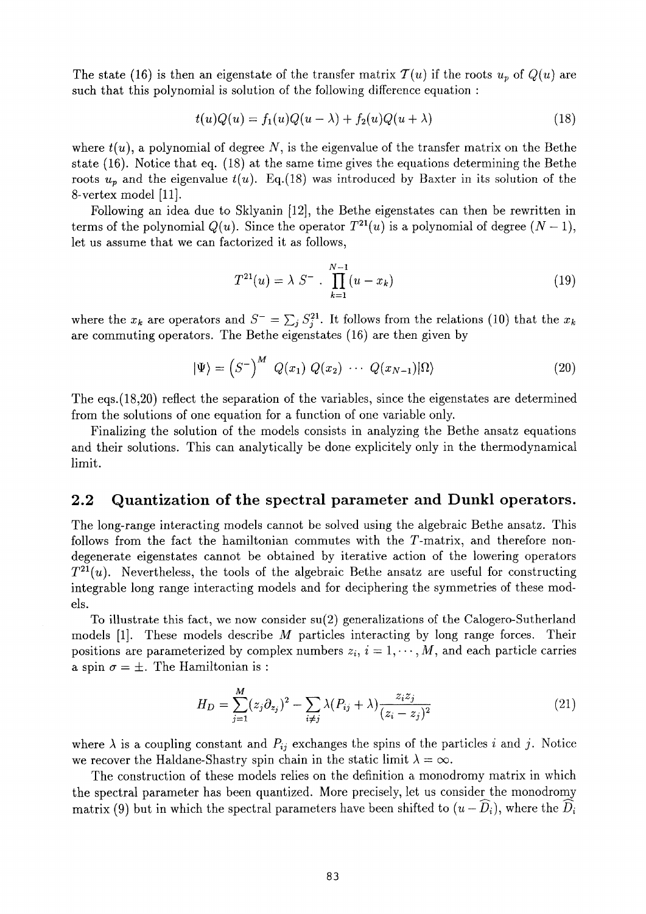The state (16) is then an eigenstate of the transfer matrix  $\mathcal{T}(u)$  if the roots  $u_p$  of  $Q(u)$  are such that this polynomial is solution of the following difference equation :

$$
t(u)Q(u) = f_1(u)Q(u-\lambda) + f_2(u)Q(u+\lambda)
$$
\n(18)

where  $t(u)$ , a polynomial of degree N, is the eigenvalue of the transfer matrix on the Bethe state (16). Notice that eq. (18) at the same time gives the equations determining the Bethe roots  $u_p$  and the eigenvalue  $t(u)$ . Eq.(18) was introduced by Baxter in its solution of the 8-vertex model [11].

Following an idea due to Sklyanin [12], the Bethe eigenstates can then be rewritten in terms of the polynomial  $Q(u)$ . Since the operator  $T^{21}(u)$  is a polynomial of degree  $(N-1)$ , let us assume that we can factorized it as follows,

$$
T^{21}(u) = \lambda S^{-} \cdot \prod_{k=1}^{N-1} (u - x_k)
$$
 (19)

where the  $x_k$  are operators and  $S^- = \sum_i S_i^{21}$ . It follows from the relations (10) that the  $x_k$ are commuting operators. The Bethe eigenstates (16) are then given by

$$
|\Psi\rangle = \left(S^{-}\right)^{M} Q(x_{1}) Q(x_{2}) \cdots Q(x_{N-1})|\Omega\rangle \tag{20}
$$

The eqs. (18,20) reflect the separation of the variables, since the eigenstates are determined from the solutions of one equation for a function of one variable only.

Finalizing the solution of the models consists in analyzing the Bethe ansatz equations and their solutions. This can analytically be done explicitely only in the thermodynamical limit.

#### **2.2 Quantization of the spectral parameter and Dunkl operators.**

The long-range interacting models cannot be solved using the algebraic Bethe ansatz. This follows from the fact the hamiltonian commutes with the T-matrix, and therefore nondegenerate eigenstates cannot be obtained by iterative action of the lowering operators *T <sup>21</sup>(u).* Nevertheless, the tools of the algebraic Bethe ansatz are useful for constructing integrable long range interacting models and for deciphering the symmetries of these models.

To illustrate this fact, we now consider su(2) generalizations of the Calogero-Sutherland models [1]. These models describe *M* particles interacting by long range forces. Their positions are parameterized by complex numbers  $z_i$ ,  $i = 1, \dots, M$ , and each particle carries a spin  $\sigma = \pm$ . The Hamiltonian is :

$$
H_D = \sum_{j=1}^{M} (z_j \partial_{z_j})^2 - \sum_{i \neq j} \lambda (P_{ij} + \lambda) \frac{z_i z_j}{(z_i - z_j)^2}
$$
(21)

where  $\lambda$  is a coupling constant and  $P_{ij}$  exchanges the spins of the particles *i* and *j*. Notice we recover the Haldane-Shastry spin chain in the static limit  $\lambda = \infty$ .

The construction of these models relies on the définition a monodromy matrix in which the spectral parameter has been quantized. More precisely, let us consider the monodromy matrix (9) but in which the spectral parameters have been shifted to  $(u - \widehat{D_i})$ , where the  $\widehat{D_i}$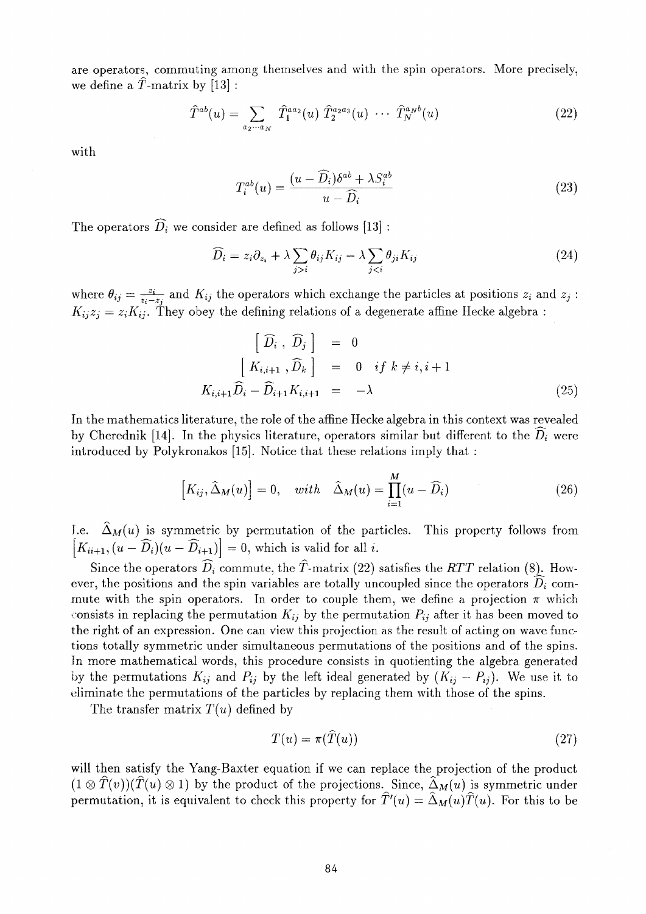are operators, commuting among themselves and with the spin operators. More precisely, we define a  $\hat{T}$ -matrix by [13]:

$$
\widehat{T}^{ab}(u) = \sum_{a_2 \cdots a_N} \widehat{T}_1^{aa_2}(u) \widehat{T}_2^{a_2 a_3}(u) \cdots \widehat{T}_N^{a_N b}(u)
$$
\n(22)

with

$$
T_i^{ab}(u) = \frac{(u - \widehat{D}_i)\delta^{ab} + \lambda S_i^{ab}}{u - \widehat{D}_i}
$$
\n(23)

The operators  $\widehat{D}_i$  we consider are defined as follows [13] :

$$
\widehat{D}_i = z_i \partial_{z_i} + \lambda \sum_{j>i} \theta_{ij} K_{ij} - \lambda \sum_{j\n(24)
$$

where  $\theta_{ij} = \frac{z_i}{z_i - z_j}$  and  $K_{ij}$  the operators which exchange the particles at positions  $z_i$  and  $z_j$ :  $K_{ij}z_j = z_iK_{ij}$ . They obey the defining relations of a degenerate affine Hecke algebra :

$$
\begin{aligned}\n\left[\begin{array}{cc}\n\widehat{D}_{i} & \widehat{D}_{j}\n\end{array}\right] &= 0 \\
\left[K_{i,i+1} & \widehat{D}_{k}\right] &= 0 \quad if \quad k \neq i, i+1 \\
K_{i,i+1}\widehat{D}_{i} - \widehat{D}_{i+1}K_{i,i+1} &= -\lambda\n\end{array}\n\tag{25}
$$

In the mathematics literature, the role of the affine Hecke algebra in this context was revealed by Cherednik [14]. In the physics literature, operators similar but different to the  $\hat{D}_i$  were introduced by Polykronakos [15]. Notice that these relations imply that :

$$
\left[K_{ij}, \hat{\Delta}_M(u)\right] = 0, \quad with \quad \hat{\Delta}_M(u) = \prod_{i=1}^M (u - \widehat{D}_i)
$$
\n(26)

I.e.  $\Delta_M(u)$  is symmetric by permutation of the particles. This property follows from  $K_{ii+1}$ ,  $(u - D_i)(u - D_{i+1}) = 0$ , which is valid for all *i*.

Since the operators  $\widehat{D}_i$  commute, the  $\widehat{T}$ -matrix (22) satisfies the *RTT* relation (8). However, the positions and the spin variables are totally uncoupled since the operators  $\widehat{D}_i$  commute with the spin operators. In order to couple them, we define a projection  $\pi$  which consists in replacing the permutation  $K_{ij}$  by the permutation  $P_{ij}$  after it has been moved to the right of an expression. One can view this projection as the result of acting on wave functions totally symmetric under simultaneous permutations of the positions and of the spins, In more mathematical words, this procedure consists in quotienting the algebra generated by the permutations  $K_{ij}$  and  $P_{ij}$  by the left ideal generated by  $(K_{ij} - P_{ij})$ . We use it to eliminate the permutations of the particles by replacing them with those of the spins.

The transfer matrix *T(u)* defined by

$$
T(u) = \pi(T(u))\tag{27}
$$

will then satisfy the Yang-Baxter equation if we can replace the projection of the product  $(1 \otimes \hat{T}(v))(\hat{T}(u) \otimes 1)$  by the product of the projections. Since,  $\hat{\Delta}_M(u)$  is symmetric under permutation, it is equivalent to check this property for  $\hat{T}(u) = \hat{\Delta}_M(u)\hat{T}(u)$ . For this to be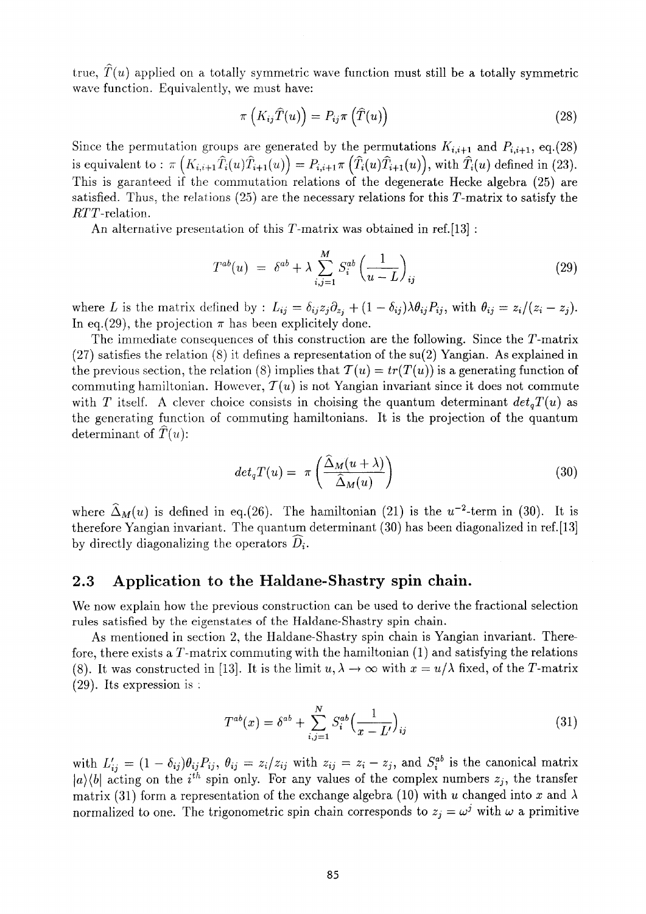true,  $\hat{T}(u)$  applied on a totally symmetric wave function must still be a totally symmetric wave function. Equivalently, we must have:

$$
\pi\left(K_{ij}\widehat{T}(u)\right) = P_{ij}\pi\left(\widehat{T}(u)\right) \tag{28}
$$

Since the permutation groups are generated by the permutations  $K_{i,i+1}$  and  $P_{i,i+1}$ , eq.(28) is equivalent to :  $\pi(K_{i,i+1}T_i(u)T_{i+1}(u)) = P_{i,i+1}\pi(T_i(u)T_{i+1}(u)),$  with  $T_i(u)$  defined in (23). This is garanteed if the commutation relations of the degenerate Hecke algebra (25) are satisfied. Thus, the relations  $(25)$  are the necessary relations for this T-matrix to satisfy the  $RTT$ -relation.

An alternative presentation of this  $T$ -matrix was obtained in ref. [13] :

$$
T^{ab}(u) = \delta^{ab} + \lambda \sum_{i,j=1}^{M} S_i^{ab} \left(\frac{1}{u-L}\right)_{ij}
$$
\n(29)

where *L* is the matrix defined by :  $L_{ij} = \delta_{ij}z_j\partial_{z_j} + (1-\delta_{ij})\lambda\theta_{ij}P_{ij}$ , with  $\theta_{ij} = z_i/(z_i - z_j)$ . In eq.(29), the projection  $\pi$  has been explicitely done.

The immediate consequences of this construction are the following. Since the T-matrix  $(27)$  satisfies the relation  $(8)$  it defines a representation of the su(2) Yangian. As explained in the previous section, the relation (8) implies that  $T(u) = tr(T(u))$  is a generating function of commuting hamiltonian. However,  $\mathcal{T}(u)$  is not Yangian invariant since it does not commute with T itself. A clever choice consists in choising the quantum determinant  $det_aT(u)$  as the generating function of commuting hamiltonians. It is the projection of the quantum determinant of  $\hat{T}(u)$ :

$$
det_q T(u) = \pi \left( \frac{\widehat{\Delta}_M(u + \lambda)}{\widehat{\Delta}_M(u)} \right) \tag{30}
$$

where  $\Delta_M(u)$  is defined in eq.(26). The hamiltonian (21) is the  $u^{-2}$ -term in (30). It is therefore Yangian invariant. The quantum determinant (30) has been diagonalized in ref.[13] by directly diagonalizing the operators  $D_i$ .

#### **2.3 Application to the Haldane-Shastry spin chain.**

We now explain how the previous construction can be used to derive the fractional selection rules satisfied by the eigenstates of the Haldane-Shastry spin chain.

As mentioned in section 2, the Haldane-Shastry spin chain is Yangian invariant. Therefore, there exists a  $T$ -matrix commuting with the hamiltonian  $(1)$  and satisfying the relations (8). It was constructed in [13]. It is the limit  $u, \lambda \to \infty$  with  $x = u/\lambda$  fixed, of the T-matrix (29). Its expression is :

$$
T^{ab}(x) = \delta^{ab} + \sum_{i,j=1}^{N} S_i^{ab} \left(\frac{1}{x - L'}\right)_{ij}
$$
 (31)

with  $L'_{ij} = (1 - \delta_{ij})\theta_{ij}P_{ij}$ ,  $\theta_{ij} = z_i/z_{ij}$  with  $z_{ij} = z_i - z_j$ , and  $S_i^{ab}$  is the canonical matrix  $\langle a \rangle$  *(b)* acting on the *i*<sup>th</sup> spin only. For any values of the complex numbers  $z_j$ , the transfer matrix (31) form a representation of the exchange algebra (10) with u changed into x and  $\lambda$ normalized to one. The trigonometric spin chain corresponds to  $z_i = \omega^j$  with  $\omega$  a primitive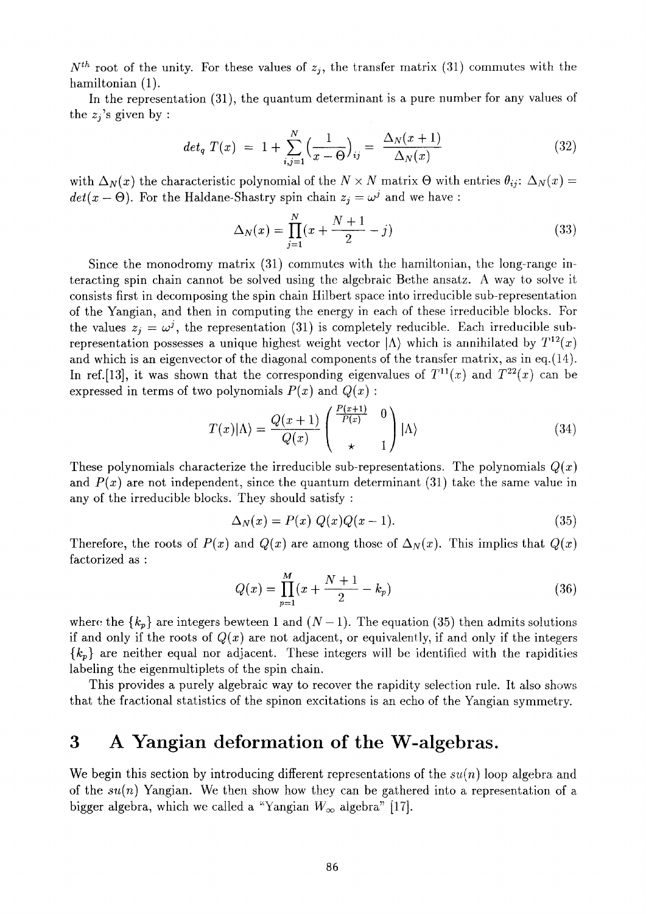$N<sup>th</sup>$  root of the unity. For these values of  $z_j$ , the transfer matrix (31) commutes with the hamiltonian (1).

In the representation (31), the quantum determinant is a pure number for any values of the  $z_i$ 's given by :

$$
det_q T(x) = 1 + \sum_{i,j=1}^{N} \left(\frac{1}{x - \Theta}\right)_{ij} = \frac{\Delta_N(x + 1)}{\Delta_N(x)}
$$
(32)

with  $\Delta_N(x)$  the characteristic polynomial of the  $N \times N$  matrix  $\Theta$  with entries  $\theta_{ij}$ :  $\Delta_N(x) =$  $det(x - \Theta)$ . For the Haldane-Shastry spin chain  $z_j = \omega^j$  and we have :

$$
\Delta_N(x) = \prod_{j=1}^N (x + \frac{N+1}{2} - j) \tag{33}
$$

Since the monodromy matrix (31) commutes with the hamiltonian, the long-range interacting spin chain cannot be solved using the algebraic Bethe ansatz. A way to solve it consists first in decomposing the spin chain Hilbert space into irreducible sub-representation of the Yangian, and then in computing the energy in each of these irreducible blocks. For the values  $z_i = \omega^j$ , the representation (31) is completely reducible. Each irreducible subrepresentation possesses a unique highest weight vector |Λ) which is annihilated by *T12(x)*  and which is an eigenvector of the diagonal components of the transfer matrix, as in eq.(14). In ref. [13], it was shown that the corresponding eigenvalues of  $T^{11}(x)$  and  $T^{22}(x)$  can be expressed in terms of two polynomials  $P(x)$  and  $Q(x)$ :

$$
T(x)|\Lambda\rangle = \frac{Q(x+1)}{Q(x)} \begin{pmatrix} \frac{P(x+1)}{P(x)} & 0\\ * & 1 \end{pmatrix} |\Lambda\rangle \tag{34}
$$

These polynomials characterize the irreducible sub-representations. The polynomials *Q(x)*  and  $P(x)$  are not independent, since the quantum determinant (31) take the same value in any of the irreducible blocks. They should satisfy :

$$
\Delta_N(x) = P(x) Q(x)Q(x-1). \tag{35}
$$

Therefore, the roots of  $P(x)$  and  $Q(x)$  are among those of  $\Delta_N(x)$ . This implies that  $Q(x)$ factorized as :

$$
Q(x) = \prod_{p=1}^{M} (x + \frac{N+1}{2} - k_p)
$$
\n(36)

where the  $\{k_p\}$  are integers bewteen 1 and  $(N-1)$ . The equation (35) then admits solutions if and only if the roots of  $Q(x)$  are not adjacent, or equivalently, if and only if the integers *{kp}* are neither equal nor adjacent. These integers will be identified with the rapidities labeling the eigenmultiplets of the spin chain.

This provides a purely algebraic way to recover the rapidity selection rule. It also shows that the fractional statistics of the spinon excitations is an echo of the Yangian symmetry.

## **3 A Yangian deformation of the W-algebras.**

We begin this section by introducing different representations of the *su(n)* loop algebra and of the *su(n)* Yangian. We then show how they can be gathered into a representation of a bigger algebra, which we called a "Yangian  $W_{\infty}$  algebra" [17].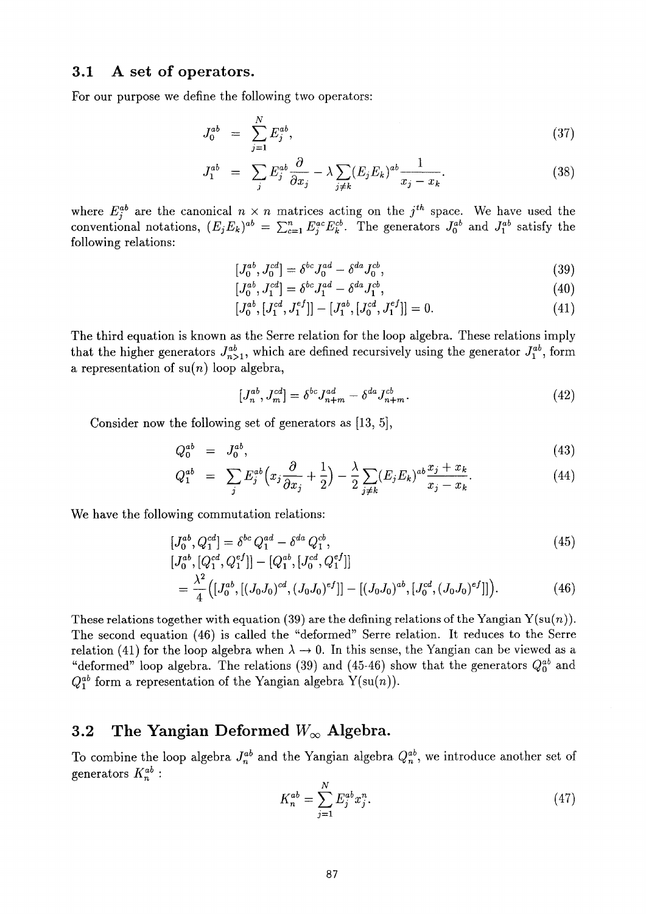#### **3.1 A set of operators.**

For our purpose we define the following two operators:

$$
J_0^{ab} = \sum_{j=1}^{N} E_j^{ab}, \tag{37}
$$

$$
J_1^{ab} = \sum_j E_j^{ab} \frac{\partial}{\partial x_j} - \lambda \sum_{j \neq k} (E_j E_k)^{ab} \frac{1}{x_j - x_k}.
$$
 (38)

where  $E_i^{ab}$  are the canonical  $n \times n$  matrices acting on the  $j^{th}$  space. We have used the conventional notations,  $(E_j E_k)^{ab} = \sum_{c=1}^n E_i^{ac} E_k^{cb}$ . The generators  $J_0^{ab}$  and  $J_1^{ab}$  satisfy the following relations:

$$
[J_0^{ab}, J_0^{cd}] = \delta^{bc} J_0^{ad} - \delta^{da} J_0^{cb}, \qquad (39)
$$

$$
[J_0^{ab}, J_1^{cd}] = \delta^{bc} J_1^{ad} - \delta^{da} J_1^{cb}, \tag{40}
$$

$$
[J_0^{ab}, [J_1^{cd}, J_1^{ef}]] - [J_1^{ab}, [J_0^{cd}, J_1^{ef}]] = 0.
$$
 (41)

The third equation is known as the Serre relation for the loop algebra. These relations imply that the higher generators  $J^{ab}_{n>1}$ , which are defined recursively using the generator  $J^{ab}_1$ , form a representation of  $su(n)$  loop algebra,

$$
[J_n^{ab}, J_m^{cd}] = \delta^{bc} J_{n+m}^{ad} - \delta^{da} J_{n+m}^{cb}.
$$
 (42)

Consider now the following set of generators as [13, 5],

$$
Q_0^{ab} = J_0^{ab}, \t\t(43)
$$

$$
Q_1^{ab} = \sum_j E_j^{ab} \Big( x_j \frac{\partial}{\partial x_j} + \frac{1}{2} \Big) - \frac{\lambda}{2} \sum_{j \neq k} (E_j E_k)^{ab} \frac{x_j + x_k}{x_j - x_k}.
$$
 (44)

We have the following commutation relations:

$$
[J_0^{ab}, Q_1^{cd}] = \delta^{bc} Q_1^{ad} - \delta^{da} Q_1^{cb},
$$
\n(45)

$$
[J_0^{ac}, [Q_1^{ca}, Q_1^{c}]] - [Q_1^{ac}, [J_0^{ca}, Q_1^{c}]]]
$$
  
= 
$$
\frac{\lambda^2}{4} ([J_0^{ab}, [(J_0J_0)^{cd}, (J_0J_0)^{ef}]] - [(J_0J_0)^{ab}, [J_0^{cd}, (J_0J_0)^{ef}]]).
$$
 (46)

These relations together with equation (39) are the defining relations of the Yangian  $Y(\mathrm{su}(n))$ . The second equation (46) is called the "deformed" Serre relation. It reduces to the Serre relation (41) for the loop algebra when  $\lambda \to 0$ . In this sense, the Yangian can be viewed as a "deformed" loop algebra. The relations (39) and (45-46) show that the generators  $Q_0^{ab}$  and  $Q_1^{ab}$  form a representation of the Yangian algebra  $Y(\text{su}(n))$ .

#### **3.2 The Yangian Deformed** *Woo* **Algebra.**

To combine the loop algebra  $J_n^{ab}$  and the Yangian algebra  $Q_n^{ab}$ , we introduce another set of generators  $K_n^{ab}$  :

$$
K_n^{ab} = \sum_{j=1}^N E_j^{ab} x_j^n.
$$
 (47)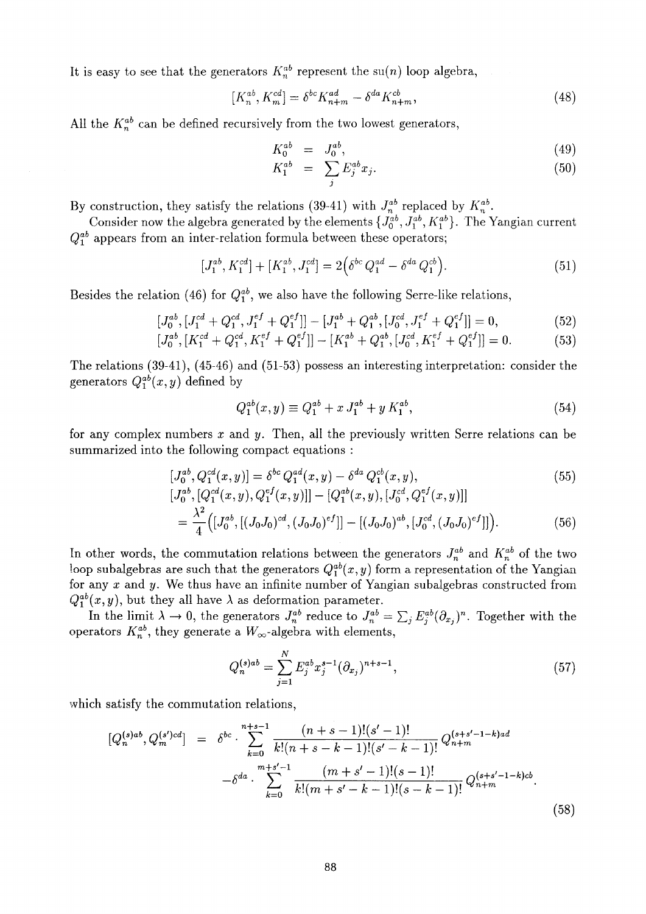It is easy to see that the generators  $K_n^{ab}$  represent the su(n) loop algebra,

$$
[K_n^{ab}, K_m^{cd}] = \delta^{bc} K_{n+m}^{ad} - \delta^{da} K_{n+m}^{cb},
$$
\n(48)

All the  $K_n^{ab}$  can be defined recursively from the two lowest generators,

$$
K_0^{ab} = J_0^{ab}, \t\t(49)
$$

$$
K_1^{ab} = \sum_j E_j^{ab} x_j. \tag{50}
$$

By construction, they satisfy the relations (39-41) with  $J_n^{ab}$  replaced by  $K_n^{ab}$ .

Consider now the algebra generated by the elements  $\{J_0^{ab}, J_1^{ab}, K_1^{ab}\}$ . The Yangian current  $Q_1^{ab}$  appears from an inter-relation formula between these operators;

$$
[J_1^{ab}, K_1^{cd}] + [K_1^{ab}, J_1^{cd}] = 2(\delta^{bc} Q_1^{ad} - \delta^{da} Q_1^{cb}).
$$
\n(51)

Besides the relation (46) for  $Q_1^{ab}$ , we also have the following Serre-like relations,

$$
[J_0^{ab}, [J_1^{cd} + Q_1^{cd}, J_1^{ef} + Q_1^{ef}]] - [J_1^{ab} + Q_1^{ab}, [J_0^{cd}, J_1^{ef} + Q_1^{ef}]] = 0,\tag{52}
$$

$$
[J_0^{ab}, [K_1^{cd} + Q_1^{cd}, K_1^{ef} + Q_1^{ef}]] - [K_1^{ab} + Q_1^{ab}, [J_0^{cd}, K_1^{ef} + Q_1^{ef}]] = 0.
$$
 (53)

The relations (39-41), (45-46) and (51-53) possess an interesting interpretation: consider the generators  $Q_1^{ab}(x,y)$  defined by

$$
Q_1^{ab}(x,y) \equiv Q_1^{ab} + x J_1^{ab} + y K_1^{ab}, \qquad (54)
$$

for any complex numbers  $x$  and  $y$ . Then, all the previously written Serre relations can be summarized into the following compact equations :

$$
[J_0^{ab}, Q_1^{cd}(x, y)] = \delta^{bc} Q_1^{ad}(x, y) - \delta^{da} Q_1^{cb}(x, y),
$$
\n
$$
[J_0^{ab}, [Q_1^{cd}(x, y), Q_1^{ef}(x, y)]] - [Q_1^{ab}(x, y), [J_0^{cd}, Q_1^{ef}(x, y)]]
$$
\n
$$
= \frac{\lambda^2}{4} \Big( [J_0^{ab}, [(J_0J_0)^{cd}, (J_0J_0)^{ef}]] - [(J_0J_0)^{ab}, [J_0^{cd}, (J_0J_0)^{ef}]] \Big).
$$
\n(56)

In other words, the commutation relations between the generators  $J_n^{ab}$  and  $K_n^{ab}$  of the two loop subalgebras are such that the generators  $Q_1^{ab}(x, y)$  form a representation of the Yangian for any  $x$  and  $y$ . We thus have an infinite number of Yangian subalgebras constructed from  $Q_1^{ab}(x,y)$ , but they all have  $\lambda$  as deformation parameter.

In the limit  $\lambda \to 0$ , the generators  $J_n^{ab}$  reduce to  $J_n^{ab} = \sum_i E_i^{ab} (\partial_x)$ <sup>n</sup>. Together with the operators  $K_n^{ab}$ , they generate a  $W_\infty$ -algebra with elements,

$$
Q_n^{(s)ab} = \sum_{j=1}^N E_j^{ab} x_j^{s-1} (\partial_{x_j})^{n+s-1},\tag{57}
$$

which satisfy the commutation relations,

$$
[Q_n^{(s)ab}, Q_m^{(s')cd}] = \delta^{bc} \cdot \sum_{k=0}^{n+s-1} \frac{(n+s-1)!(s'-1)!}{k!(n+s-k-1)!(s'-k-1)!} Q_{n+m}^{(s+s'-1-k)a d}
$$

$$
- \delta^{da} \cdot \sum_{k=0}^{m+s'-1} \frac{(m+s'-1)!(s-1)!}{k!(m+s'-k-1)!(s-k-1)!} Q_{n+m}^{(s+s'-1-k)c b}.
$$
(58)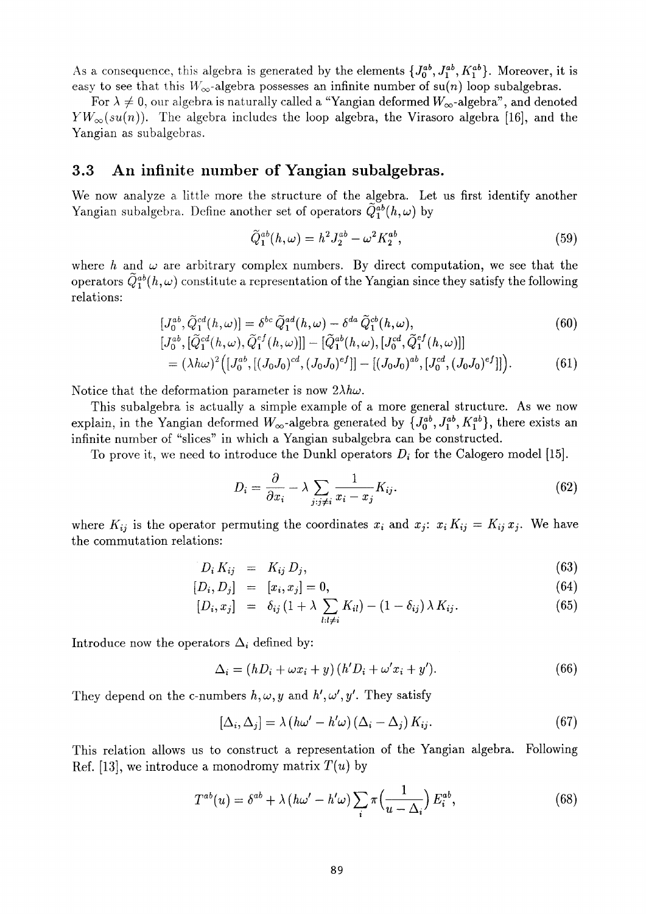As a consequence, this algebra is generated by the elements  $\{J_0^{ab}, J_1^{ab}, K_1^{ab}\}$ . Moreover, it is easy to see that this  $W_\infty$ -algebra possesses an infinite number of su(n) loop subalgebras.

For  $\lambda \neq 0$ , our algebra is naturally called a "Yangian deformed  $W_{\infty}$ -algebra", and denoted  $YW_\infty(su(n))$ . The algebra includes the loop algebra, the Virasoro algebra [16], and the Yangian as subalgebras.

#### **3.3 An infinite number of Yangian subalgebras.**

We now analyze a little more the structure of the algebra. Let us first identify another Yangian subalgebra. Define another set of operators  $\tilde{Q}_1^{ab}(h,\omega)$  by

$$
\tilde{Q}_1^{ab}(h,\omega) = h^2 J_2^{ab} - \omega^2 K_2^{ab},\tag{59}
$$

where *h* and  $\omega$  are arbitrary complex numbers. By direct computation, we see that the operators  $\tilde{Q}_{1}^{ab}(h,\omega)$  constitute a representation of the Yangian since they satisfy the following relations:

$$
[J_0^{ab}, \tilde{Q}_1^{cd}(h,\omega)] = \delta^{bc} \tilde{Q}_1^{ad}(h,\omega) - \delta^{da} \tilde{Q}_1^{cb}(h,\omega),
$$
  
Let  $\tilde{\epsilon} \tilde{\epsilon}^{cd}(h,\omega) = \tilde{\epsilon}^{ef}(h,\omega) \tilde{\epsilon}^{cd}(h,\omega) + i \tilde{\epsilon}^{ef}(h,\omega)$ 

$$
[J_0^{ab}, [Q_1^{cd}(h,\omega), Q_1^{ef}(h,\omega)]] - [Q_1^{ab}(h,\omega), [J_0^{cd}, Q_1^{ef}(h,\omega)]]
$$
  
=  $(\lambda h\omega)^2 ([J_0^{ab}, [(J_0J_0)^{cd}, (J_0J_0)^{ef}]] - [(J_0J_0)^{ab}, [J_0^{cd}, (J_0J_0)^{ef}]]).$  (61)

Notice that the deformation parameter is now  $2\lambda h\omega$ .

This subalgebra is actually a simple example of a more general structure. As we now explain, in the Yangian deformed  $W_\infty$ -algebra generated by  $\{J_0^{ab}, J_1^{ab}, K_1^{ab}\}$ , there exists an infinite number of "slices" in which a Yangian subalgebra can be constructed.

To prove it, we need to introduce the Dunkl operators  $D_i$  for the Calogero model [15].

$$
D_i = \frac{\partial}{\partial x_i} - \lambda \sum_{j:j \neq i} \frac{1}{x_i - x_j} K_{ij}.
$$
 (62)

where  $K_{ij}$  is the operator permuting the coordinates  $x_i$  and  $x_j$ :  $x_i K_{ij} = K_{ij} x_j$ . We have the commutation relations:

$$
D_i K_{ij} = K_{ij} D_j, \qquad (63)
$$

$$
[D_i, D_j] = [x_i, x_j] = 0,\t(64)
$$

$$
[D_i, x_j] = \delta_{ij} (1 + \lambda \sum_{l:l \neq i} K_{il}) - (1 - \delta_{ij}) \lambda K_{ij}.
$$
 (65)

Introduce now the operators  $\Delta_i$  defined by:

$$
\Delta_i = (hD_i + \omega x_i + y)(h'D_i + \omega' x_i + y'). \tag{66}
$$

They depend on the c-numbers  $h, \omega, y$  and  $h', \omega', y'$ . They satisfy

$$
[\Delta_i, \Delta_j] = \lambda \left( h\omega' - h'\omega \right) \left( \Delta_i - \Delta_j \right) K_{ij}.
$$
 (67)

This relation allows us to construct a representation of the Yangian algebra. Following Ref. [13], we introduce a monodromy matrix *T(u)* by

$$
T^{ab}(u) = \delta^{ab} + \lambda \left( h\omega' - h'\omega \right) \sum_{i} \pi \left( \frac{1}{u - \Delta_i} \right) E_i^{ab},\tag{68}
$$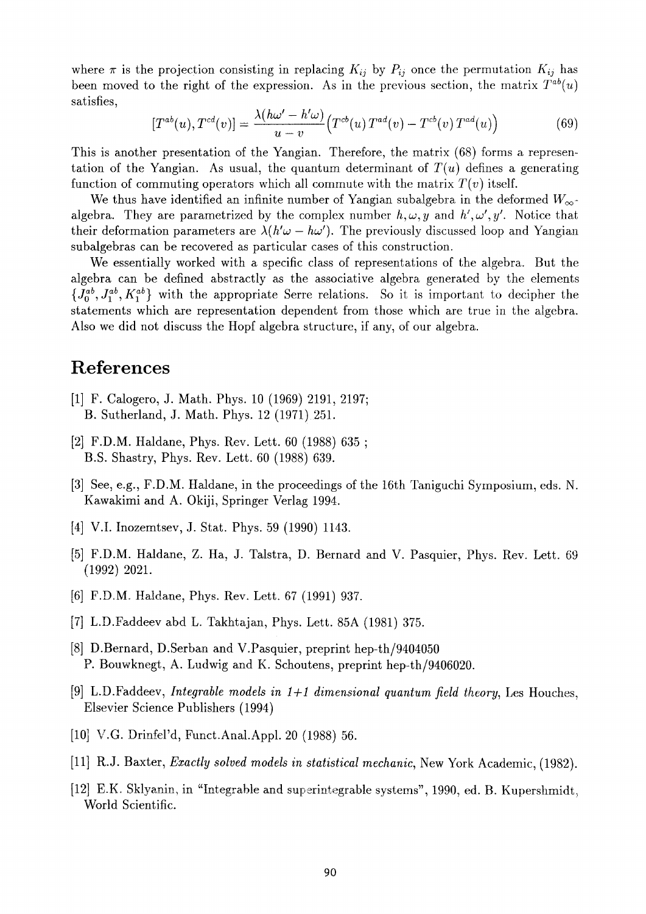where  $\pi$  is the projection consisting in replacing  $K_{ij}$  by  $P_{ij}$  once the permutation  $K_{ij}$  has been moved to the right of the expression. As in the previous section, the matrix  $T^{ab}(u)$ satisfies,

$$
[T^{ab}(u), T^{cd}(v)] = \frac{\lambda(h\omega' - h'\omega)}{u - v} \Big( T^{cb}(u) T^{ad}(v) - T^{cb}(v) T^{ad}(u) \Big)
$$
(69)

This is another presentation of the Yangian. Therefore, the matrix (68) forms a representation of the Yangian. As usual, the quantum determinant of  $T(u)$  defines a generating function of commuting operators which all commute with the matrix  $T(v)$  itself.

We thus have identified an infinite number of Yangian subalgebra in the deformed  $W_{\infty}$ . algebra. They are parametrized by the complex number  $h, \omega, y$  and  $h', \omega', y'$ . Notice that their deformation parameters are  $\lambda(h'\omega - h\omega')$ . The previously discussed loop and Yangian subalgebras can be recovered as particular cases of this construction.

We essentially worked with a specific class of representations of the algebra. But the algebra can be defined abstractly as the associative algebra generated by the elements  ${J_0^{ab}, J_1^{ab}, K_1^{ab}}$  with the appropriate Serre relations. So it is important to decipher the statements which are representation dependent from those which are true in the algebra. Also we did not discuss the Hopf algebra structure, if any, of our algebra.

## **References**

- [1] F. Calogero, J. Math. Phys. 10 (1969) 2191, 2197; B. Sutherland, J. Math. Phys. 12 (1971) 251.
- [2] F.D.M. Haldane, Phys. Rev. Lett. 60 (1988) 635 ; B.S. Shastry, Phys. Rev. Lett. 60 (1988) 639.
- [3] See, e.g., F.D.M. Haldane, in the proceedings of the 16th Taniguchi Symposium, eds. N. Kawakimi and A. Okiji, Springer Verlag 1994.
- [4] V.I. Inozemtsev, J. Stat. Phys. 59 (1990) 1143.
- [5] F.D.M. Haldane, Z. Ha, J. Talstra, D. Bernard and V. Pasquier, Phys. Rev. Lett. 69 (1992) 2021.
- [6] F.D.M. Haldane, Phys. Rev. Lett. 67 (1991) 937.
- [7] L.D.Faddeev abd L. Takhtajan, Phys. Lett. 85A (1981) 375.
- [8] D.Bernard, D.Serban and V. Pasquier, preprint hep-th/9404050 P. Bouwknegt, A. Ludwig and K. Schoutens, preprint hep-th/9406020.
- [9] L.D.Faddeev, *Integrable models in 1+1 dimensional quantum field theory,* Les Houches, Elsevier Science Publishers (1994)
- [10] V.G. Drinfel'd, Funct.Anal.Appl. 20 (1988) 56.
- [11] R.J. Baxter, *Exactly solved models in statistical mechanic,* New York Academic, (1982).
- [12] E.K. Sklyanin, in "Integrable and superintegrable systems", 1990, ed. B. Kupershmidt, World Scientific.